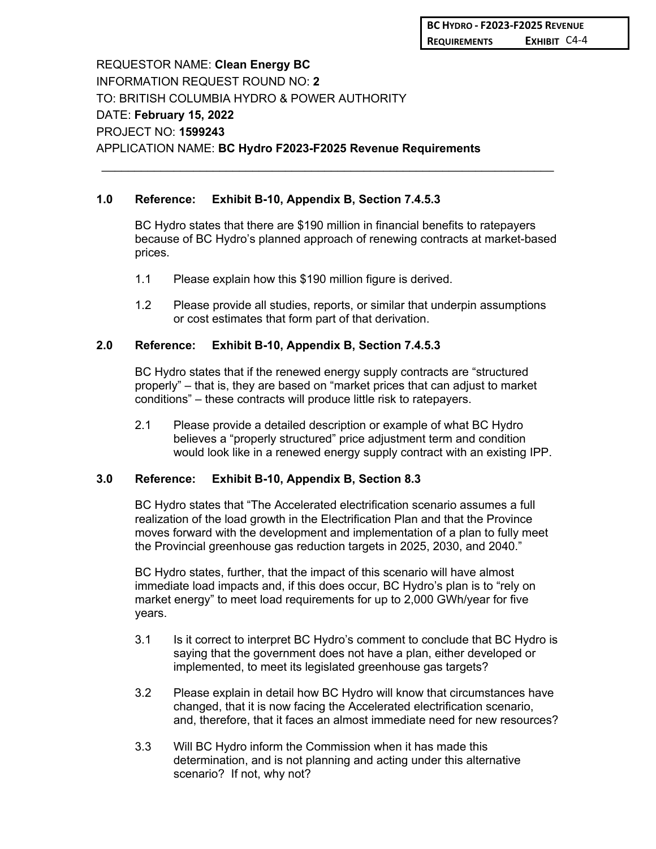REQUESTOR NAME: **Clean Energy BC** INFORMATION REQUEST ROUND NO: **2** TO: BRITISH COLUMBIA HYDRO & POWER AUTHORITY DATE: **February 15, 2022** PROJECT NO: **1599243** APPLICATION NAME: **BC Hydro F2023-F2025 Revenue Requirements**

# **1.0 Reference: Exhibit B-10, Appendix B, Section 7.4.5.3**

BC Hydro states that there are \$190 million in financial benefits to ratepayers because of BC Hydro's planned approach of renewing contracts at market-based prices.

 $\_$ 

- 1.1 Please explain how this \$190 million figure is derived.
- 1.2 Please provide all studies, reports, or similar that underpin assumptions or cost estimates that form part of that derivation.

#### **2.0 Reference: Exhibit B-10, Appendix B, Section 7.4.5.3**

BC Hydro states that if the renewed energy supply contracts are "structured properly" – that is, they are based on "market prices that can adjust to market conditions" – these contracts will produce little risk to ratepayers.

2.1 Please provide a detailed description or example of what BC Hydro believes a "properly structured" price adjustment term and condition would look like in a renewed energy supply contract with an existing IPP.

## **3.0 Reference: Exhibit B-10, Appendix B, Section 8.3**

BC Hydro states that "The Accelerated electrification scenario assumes a full realization of the load growth in the Electrification Plan and that the Province moves forward with the development and implementation of a plan to fully meet the Provincial greenhouse gas reduction targets in 2025, 2030, and 2040."

BC Hydro states, further, that the impact of this scenario will have almost immediate load impacts and, if this does occur, BC Hydro's plan is to "rely on market energy" to meet load requirements for up to 2,000 GWh/year for five years.

- 3.1 Is it correct to interpret BC Hydro's comment to conclude that BC Hydro is saying that the government does not have a plan, either developed or implemented, to meet its legislated greenhouse gas targets?
- 3.2 Please explain in detail how BC Hydro will know that circumstances have changed, that it is now facing the Accelerated electrification scenario, and, therefore, that it faces an almost immediate need for new resources?
- 3.3 Will BC Hydro inform the Commission when it has made this determination, and is not planning and acting under this alternative scenario? If not, why not?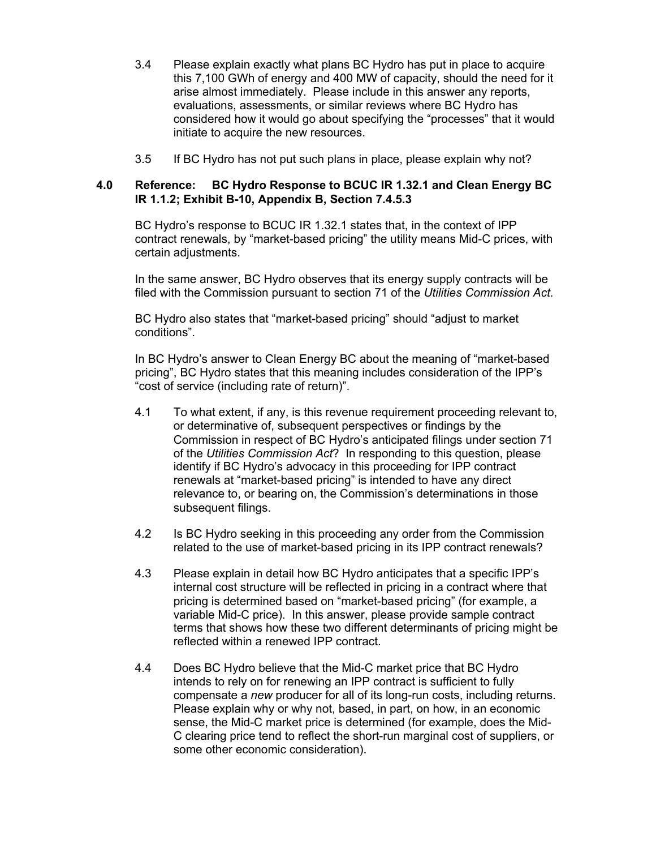- 3.4 Please explain exactly what plans BC Hydro has put in place to acquire this 7,100 GWh of energy and 400 MW of capacity, should the need for it arise almost immediately. Please include in this answer any reports, evaluations, assessments, or similar reviews where BC Hydro has considered how it would go about specifying the "processes" that it would initiate to acquire the new resources.
- 3.5 If BC Hydro has not put such plans in place, please explain why not?

#### **4.0 Reference: BC Hydro Response to BCUC IR 1.32.1 and Clean Energy BC IR 1.1.2; Exhibit B-10, Appendix B, Section 7.4.5.3**

BC Hydro's response to BCUC IR 1.32.1 states that, in the context of IPP contract renewals, by "market-based pricing" the utility means Mid-C prices, with certain adjustments.

In the same answer, BC Hydro observes that its energy supply contracts will be filed with the Commission pursuant to section 71 of the *Utilities Commission Act*.

BC Hydro also states that "market-based pricing" should "adjust to market conditions".

In BC Hydro's answer to Clean Energy BC about the meaning of "market-based pricing", BC Hydro states that this meaning includes consideration of the IPP's "cost of service (including rate of return)".

- 4.1 To what extent, if any, is this revenue requirement proceeding relevant to, or determinative of, subsequent perspectives or findings by the Commission in respect of BC Hydro's anticipated filings under section 71 of the *Utilities Commission Act*? In responding to this question, please identify if BC Hydro's advocacy in this proceeding for IPP contract renewals at "market-based pricing" is intended to have any direct relevance to, or bearing on, the Commission's determinations in those subsequent filings.
- 4.2 Is BC Hydro seeking in this proceeding any order from the Commission related to the use of market-based pricing in its IPP contract renewals?
- 4.3 Please explain in detail how BC Hydro anticipates that a specific IPP's internal cost structure will be reflected in pricing in a contract where that pricing is determined based on "market-based pricing" (for example, a variable Mid-C price). In this answer, please provide sample contract terms that shows how these two different determinants of pricing might be reflected within a renewed IPP contract.
- 4.4 Does BC Hydro believe that the Mid-C market price that BC Hydro intends to rely on for renewing an IPP contract is sufficient to fully compensate a *new* producer for all of its long-run costs, including returns. Please explain why or why not, based, in part, on how, in an economic sense, the Mid-C market price is determined (for example, does the Mid-C clearing price tend to reflect the short-run marginal cost of suppliers, or some other economic consideration).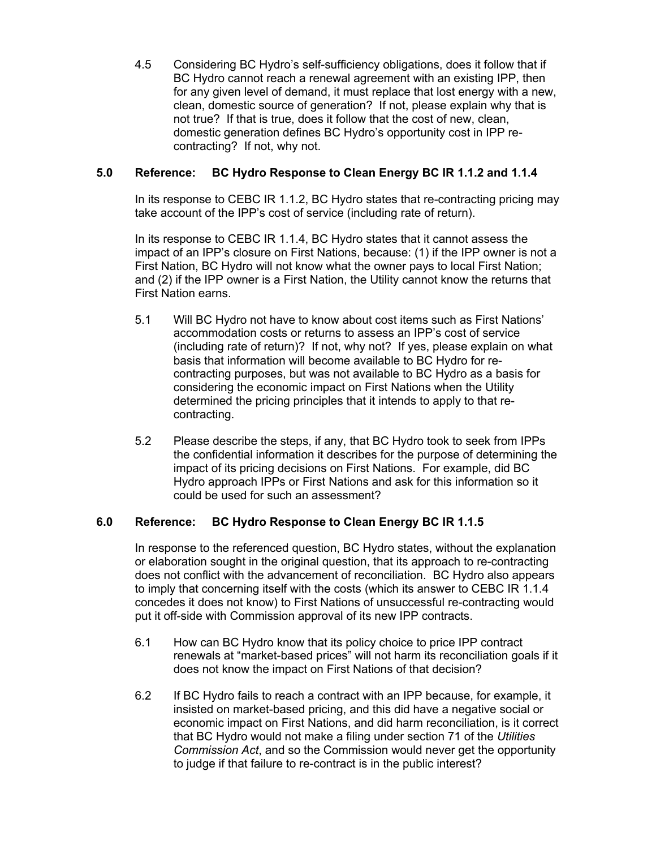4.5 Considering BC Hydro's self-sufficiency obligations, does it follow that if BC Hydro cannot reach a renewal agreement with an existing IPP, then for any given level of demand, it must replace that lost energy with a new, clean, domestic source of generation? If not, please explain why that is not true? If that is true, does it follow that the cost of new, clean, domestic generation defines BC Hydro's opportunity cost in IPP recontracting? If not, why not.

# **5.0 Reference: BC Hydro Response to Clean Energy BC IR 1.1.2 and 1.1.4**

In its response to CEBC IR 1.1.2, BC Hydro states that re-contracting pricing may take account of the IPP's cost of service (including rate of return).

In its response to CEBC IR 1.1.4, BC Hydro states that it cannot assess the impact of an IPP's closure on First Nations, because: (1) if the IPP owner is not a First Nation, BC Hydro will not know what the owner pays to local First Nation; and (2) if the IPP owner is a First Nation, the Utility cannot know the returns that First Nation earns.

- 5.1 Will BC Hydro not have to know about cost items such as First Nations' accommodation costs or returns to assess an IPP's cost of service (including rate of return)? If not, why not? If yes, please explain on what basis that information will become available to BC Hydro for recontracting purposes, but was not available to BC Hydro as a basis for considering the economic impact on First Nations when the Utility determined the pricing principles that it intends to apply to that recontracting.
- 5.2 Please describe the steps, if any, that BC Hydro took to seek from IPPs the confidential information it describes for the purpose of determining the impact of its pricing decisions on First Nations. For example, did BC Hydro approach IPPs or First Nations and ask for this information so it could be used for such an assessment?

## **6.0 Reference: BC Hydro Response to Clean Energy BC IR 1.1.5**

In response to the referenced question, BC Hydro states, without the explanation or elaboration sought in the original question, that its approach to re-contracting does not conflict with the advancement of reconciliation. BC Hydro also appears to imply that concerning itself with the costs (which its answer to CEBC IR 1.1.4 concedes it does not know) to First Nations of unsuccessful re-contracting would put it off-side with Commission approval of its new IPP contracts.

- 6.1 How can BC Hydro know that its policy choice to price IPP contract renewals at "market-based prices" will not harm its reconciliation goals if it does not know the impact on First Nations of that decision?
- 6.2 If BC Hydro fails to reach a contract with an IPP because, for example, it insisted on market-based pricing, and this did have a negative social or economic impact on First Nations, and did harm reconciliation, is it correct that BC Hydro would not make a filing under section 71 of the *Utilities Commission Act*, and so the Commission would never get the opportunity to judge if that failure to re-contract is in the public interest?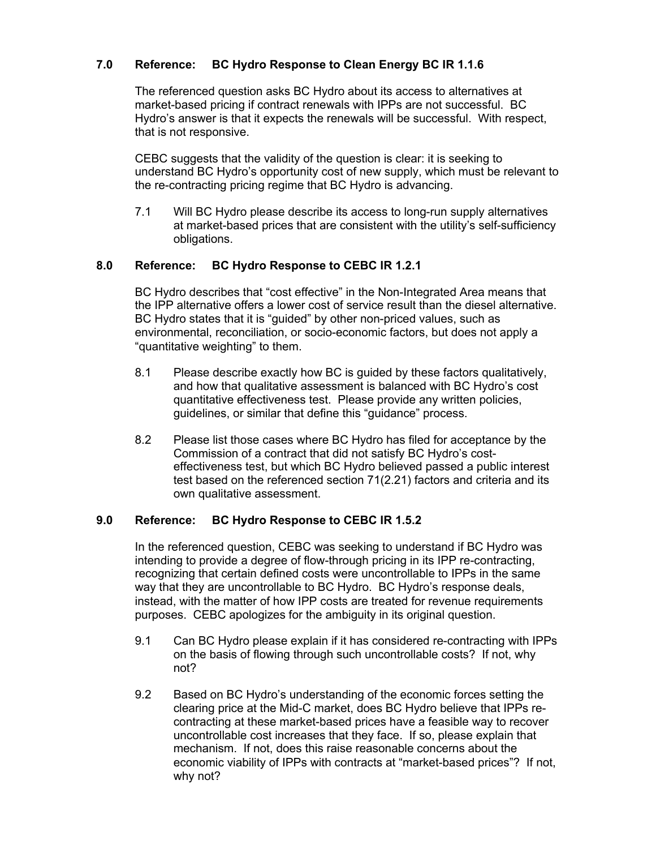# **7.0 Reference: BC Hydro Response to Clean Energy BC IR 1.1.6**

The referenced question asks BC Hydro about its access to alternatives at market-based pricing if contract renewals with IPPs are not successful. BC Hydro's answer is that it expects the renewals will be successful. With respect, that is not responsive.

CEBC suggests that the validity of the question is clear: it is seeking to understand BC Hydro's opportunity cost of new supply, which must be relevant to the re-contracting pricing regime that BC Hydro is advancing.

7.1 Will BC Hydro please describe its access to long-run supply alternatives at market-based prices that are consistent with the utility's self-sufficiency obligations.

## **8.0 Reference: BC Hydro Response to CEBC IR 1.2.1**

BC Hydro describes that "cost effective" in the Non-Integrated Area means that the IPP alternative offers a lower cost of service result than the diesel alternative. BC Hydro states that it is "guided" by other non-priced values, such as environmental, reconciliation, or socio-economic factors, but does not apply a "quantitative weighting" to them.

- 8.1 Please describe exactly how BC is guided by these factors qualitatively, and how that qualitative assessment is balanced with BC Hydro's cost quantitative effectiveness test. Please provide any written policies, guidelines, or similar that define this "guidance" process.
- 8.2 Please list those cases where BC Hydro has filed for acceptance by the Commission of a contract that did not satisfy BC Hydro's costeffectiveness test, but which BC Hydro believed passed a public interest test based on the referenced section 71(2.21) factors and criteria and its own qualitative assessment.

## **9.0 Reference: BC Hydro Response to CEBC IR 1.5.2**

In the referenced question, CEBC was seeking to understand if BC Hydro was intending to provide a degree of flow-through pricing in its IPP re-contracting, recognizing that certain defined costs were uncontrollable to IPPs in the same way that they are uncontrollable to BC Hydro. BC Hydro's response deals, instead, with the matter of how IPP costs are treated for revenue requirements purposes. CEBC apologizes for the ambiguity in its original question.

- 9.1 Can BC Hydro please explain if it has considered re-contracting with IPPs on the basis of flowing through such uncontrollable costs? If not, why not?
- 9.2 Based on BC Hydro's understanding of the economic forces setting the clearing price at the Mid-C market, does BC Hydro believe that IPPs recontracting at these market-based prices have a feasible way to recover uncontrollable cost increases that they face. If so, please explain that mechanism. If not, does this raise reasonable concerns about the economic viability of IPPs with contracts at "market-based prices"? If not, why not?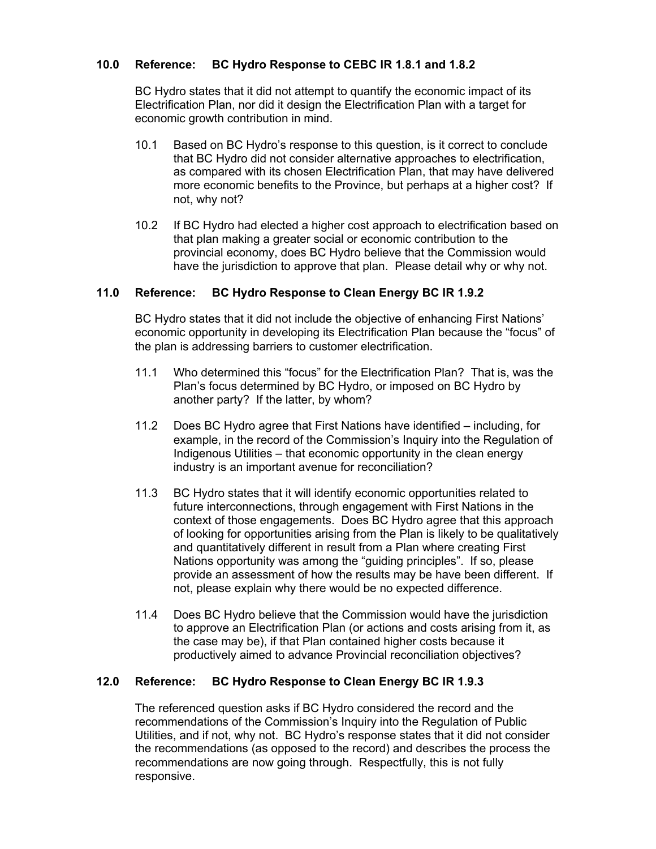# **10.0 Reference: BC Hydro Response to CEBC IR 1.8.1 and 1.8.2**

BC Hydro states that it did not attempt to quantify the economic impact of its Electrification Plan, nor did it design the Electrification Plan with a target for economic growth contribution in mind.

- 10.1 Based on BC Hydro's response to this question, is it correct to conclude that BC Hydro did not consider alternative approaches to electrification, as compared with its chosen Electrification Plan, that may have delivered more economic benefits to the Province, but perhaps at a higher cost? If not, why not?
- 10.2 If BC Hydro had elected a higher cost approach to electrification based on that plan making a greater social or economic contribution to the provincial economy, does BC Hydro believe that the Commission would have the jurisdiction to approve that plan. Please detail why or why not.

## **11.0 Reference: BC Hydro Response to Clean Energy BC IR 1.9.2**

BC Hydro states that it did not include the objective of enhancing First Nations' economic opportunity in developing its Electrification Plan because the "focus" of the plan is addressing barriers to customer electrification.

- 11.1 Who determined this "focus" for the Electrification Plan? That is, was the Plan's focus determined by BC Hydro, or imposed on BC Hydro by another party? If the latter, by whom?
- 11.2 Does BC Hydro agree that First Nations have identified including, for example, in the record of the Commission's Inquiry into the Regulation of Indigenous Utilities – that economic opportunity in the clean energy industry is an important avenue for reconciliation?
- 11.3 BC Hydro states that it will identify economic opportunities related to future interconnections, through engagement with First Nations in the context of those engagements. Does BC Hydro agree that this approach of looking for opportunities arising from the Plan is likely to be qualitatively and quantitatively different in result from a Plan where creating First Nations opportunity was among the "guiding principles". If so, please provide an assessment of how the results may be have been different. If not, please explain why there would be no expected difference.
- 11.4 Does BC Hydro believe that the Commission would have the jurisdiction to approve an Electrification Plan (or actions and costs arising from it, as the case may be), if that Plan contained higher costs because it productively aimed to advance Provincial reconciliation objectives?

#### **12.0 Reference: BC Hydro Response to Clean Energy BC IR 1.9.3**

The referenced question asks if BC Hydro considered the record and the recommendations of the Commission's Inquiry into the Regulation of Public Utilities, and if not, why not. BC Hydro's response states that it did not consider the recommendations (as opposed to the record) and describes the process the recommendations are now going through. Respectfully, this is not fully responsive.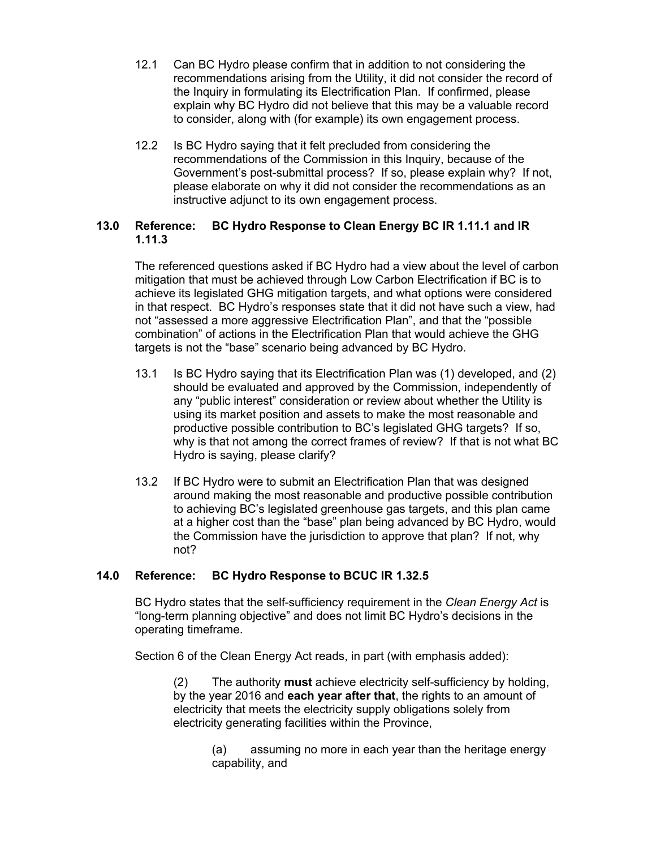- 12.1 Can BC Hydro please confirm that in addition to not considering the recommendations arising from the Utility, it did not consider the record of the Inquiry in formulating its Electrification Plan. If confirmed, please explain why BC Hydro did not believe that this may be a valuable record to consider, along with (for example) its own engagement process.
- 12.2 Is BC Hydro saying that it felt precluded from considering the recommendations of the Commission in this Inquiry, because of the Government's post-submittal process? If so, please explain why? If not, please elaborate on why it did not consider the recommendations as an instructive adjunct to its own engagement process.

## **13.0 Reference: BC Hydro Response to Clean Energy BC IR 1.11.1 and IR 1.11.3**

The referenced questions asked if BC Hydro had a view about the level of carbon mitigation that must be achieved through Low Carbon Electrification if BC is to achieve its legislated GHG mitigation targets, and what options were considered in that respect. BC Hydro's responses state that it did not have such a view, had not "assessed a more aggressive Electrification Plan", and that the "possible combination" of actions in the Electrification Plan that would achieve the GHG targets is not the "base" scenario being advanced by BC Hydro.

- 13.1 Is BC Hydro saying that its Electrification Plan was (1) developed, and (2) should be evaluated and approved by the Commission, independently of any "public interest" consideration or review about whether the Utility is using its market position and assets to make the most reasonable and productive possible contribution to BC's legislated GHG targets? If so, why is that not among the correct frames of review? If that is not what BC Hydro is saying, please clarify?
- 13.2 If BC Hydro were to submit an Electrification Plan that was designed around making the most reasonable and productive possible contribution to achieving BC's legislated greenhouse gas targets, and this plan came at a higher cost than the "base" plan being advanced by BC Hydro, would the Commission have the jurisdiction to approve that plan? If not, why not?

## **14.0 Reference: BC Hydro Response to BCUC IR 1.32.5**

BC Hydro states that the self-sufficiency requirement in the *Clean Energy Act* is "long-term planning objective" and does not limit BC Hydro's decisions in the operating timeframe.

Section 6 of the Clean Energy Act reads, in part (with emphasis added):

(2) The authority **must** achieve electricity self-sufficiency by holding, by the year 2016 and **each year after that**, the rights to an amount of electricity that meets the electricity supply obligations solely from electricity generating facilities within the Province,

> (a) assuming no more in each year than the heritage energy capability, and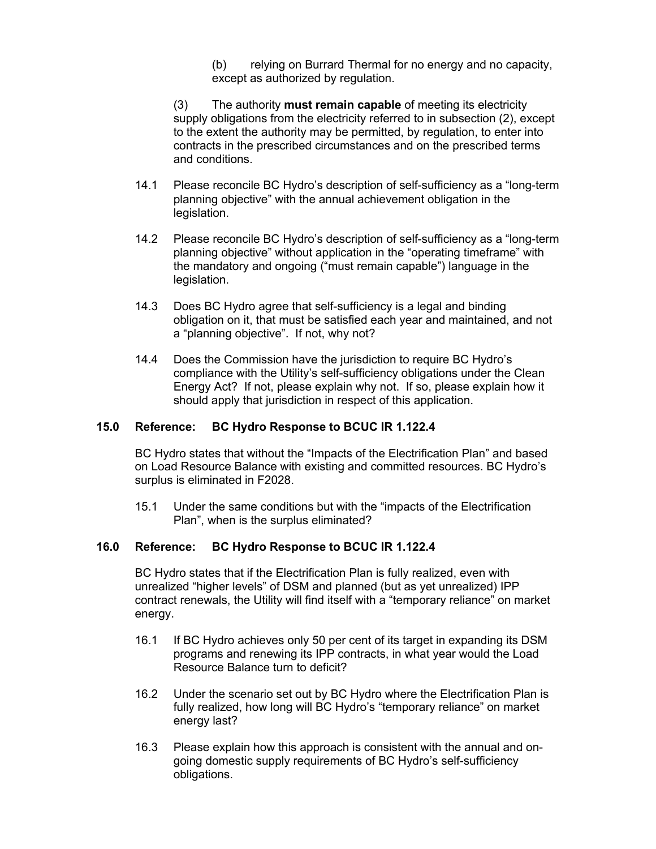(b) relying on Burrard Thermal for no energy and no capacity, except as authorized by regulation.

(3) The authority **must remain capable** of meeting its electricity supply obligations from the electricity referred to in subsection (2), except to the extent the authority may be permitted, by regulation, to enter into contracts in the prescribed circumstances and on the prescribed terms and conditions.

- 14.1 Please reconcile BC Hydro's description of self-sufficiency as a "long-term planning objective" with the annual achievement obligation in the legislation.
- 14.2 Please reconcile BC Hydro's description of self-sufficiency as a "long-term planning objective" without application in the "operating timeframe" with the mandatory and ongoing ("must remain capable") language in the legislation.
- 14.3 Does BC Hydro agree that self-sufficiency is a legal and binding obligation on it, that must be satisfied each year and maintained, and not a "planning objective". If not, why not?
- 14.4 Does the Commission have the jurisdiction to require BC Hydro's compliance with the Utility's self-sufficiency obligations under the Clean Energy Act? If not, please explain why not. If so, please explain how it should apply that jurisdiction in respect of this application.

#### **15.0 Reference: BC Hydro Response to BCUC IR 1.122.4**

BC Hydro states that without the "Impacts of the Electrification Plan" and based on Load Resource Balance with existing and committed resources. BC Hydro's surplus is eliminated in F2028.

15.1 Under the same conditions but with the "impacts of the Electrification Plan", when is the surplus eliminated?

#### **16.0 Reference: BC Hydro Response to BCUC IR 1.122.4**

BC Hydro states that if the Electrification Plan is fully realized, even with unrealized "higher levels" of DSM and planned (but as yet unrealized) IPP contract renewals, the Utility will find itself with a "temporary reliance" on market energy.

- 16.1 If BC Hydro achieves only 50 per cent of its target in expanding its DSM programs and renewing its IPP contracts, in what year would the Load Resource Balance turn to deficit?
- 16.2 Under the scenario set out by BC Hydro where the Electrification Plan is fully realized, how long will BC Hydro's "temporary reliance" on market energy last?
- 16.3 Please explain how this approach is consistent with the annual and ongoing domestic supply requirements of BC Hydro's self-sufficiency obligations.